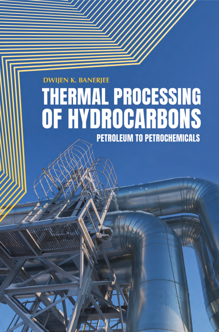# **DWIJEN K. BANERJEE THERMAL PROCESSING** OF HYDROCARBONS **PETROLEUM TO PETROCHEMICALS**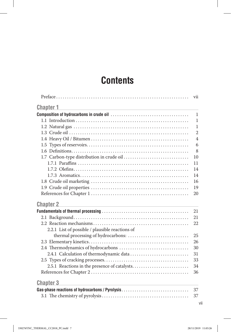# **Contents**

|                                                 | vii            |
|-------------------------------------------------|----------------|
| <u>Chapter 1</u>                                |                |
|                                                 | $\mathbf{1}$   |
|                                                 | $\mathbf{1}$   |
|                                                 | $\mathbf{1}$   |
|                                                 | $\overline{2}$ |
|                                                 | $\overline{4}$ |
|                                                 | 6              |
|                                                 | 8              |
|                                                 | 10             |
|                                                 | 11             |
|                                                 | 14             |
|                                                 | 14             |
|                                                 | 16             |
|                                                 | 19             |
|                                                 | 20             |
| <b>Chapter 2</b>                                |                |
|                                                 | 21             |
|                                                 | 21             |
|                                                 | 22             |
| 2.2.1 List of possible / plausible reactions of |                |
|                                                 | 25             |
|                                                 | 26             |
|                                                 | 30             |
|                                                 | 31             |
|                                                 | 33             |
|                                                 | 34             |
|                                                 | 36             |
| <b>Chapter 3</b>                                |                |
| Gas-phase reactions of hydrocarbons / Pyrolysis | 37             |
|                                                 | 37             |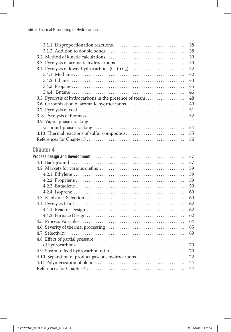|                                                        | 38 |
|--------------------------------------------------------|----|
|                                                        | 38 |
|                                                        | 39 |
|                                                        | 40 |
| 3.4 Pyrolysis of lower hydrocarbons $(C_1$ to $C_4)$   | 42 |
|                                                        | 42 |
|                                                        | 43 |
|                                                        | 45 |
|                                                        | 46 |
| 3.5 Pyrolysis of hydrocarbons in the presence of steam | 48 |
| 3.6 Carbonization of aromatic hydrocarbons             | 49 |
|                                                        | 51 |
|                                                        | 52 |
| 3.9 Vapor-phase cracking                               |    |
|                                                        | 54 |
| 3.10 Thermal reactions of sulfur compounds             | 55 |
|                                                        | 56 |
|                                                        |    |

| <b>Chapter 4</b>                                |    |
|-------------------------------------------------|----|
|                                                 | 57 |
|                                                 | 57 |
|                                                 | 59 |
|                                                 | 59 |
|                                                 | 59 |
|                                                 | 59 |
|                                                 | 60 |
|                                                 | 60 |
|                                                 | 62 |
|                                                 | 62 |
|                                                 | 62 |
|                                                 | 64 |
|                                                 | 65 |
|                                                 | 69 |
| 4.8 Effect of partial pressure                  |    |
|                                                 | 70 |
|                                                 | 70 |
| 4.10 Separation of product gaseous hydrocarbons | 72 |
|                                                 | 74 |
|                                                 | 74 |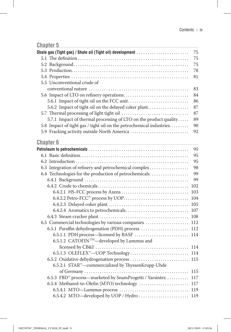#### **Chapter 5 Chapter 5 Chapter 5 Chapter 5 Chapter 6 Chapter 6 Chapter 6 Chapter 6 Chapter 6 Chapter 6 Chapter 6 Chapter 6 Chapter 6 Chapter 6 Chapter 6 Chapter 6 Chapter 6 Chapter 6 Chapt**

| Shale gas (Tight gas) / Shale oil (Tight oil) development            | 75 |
|----------------------------------------------------------------------|----|
|                                                                      | 75 |
|                                                                      | 75 |
|                                                                      | 78 |
|                                                                      | 81 |
| 5.5 Unconventional crude of                                          |    |
|                                                                      | 83 |
|                                                                      | 84 |
|                                                                      | 86 |
| 5.6.2 Impact of tight oil on the delayed coker plant                 | 87 |
| 5.7 Thermal processing of light tight oil                            | 87 |
| 5.7.1 Impact of thermal processing of LTO on the product quality     | 89 |
| 5.8 Impact of tight gas / tight oil on the petrochemical industries. | 90 |
| 5.9 Fracking activity outside North America                          | 92 |
|                                                                      |    |

#### **Chapter 6**

|                                                                          | 95  |
|--------------------------------------------------------------------------|-----|
|                                                                          | 95  |
|                                                                          | 95  |
| 6.3 Integration of refinery and petrochemical complex                    | 98  |
| 6.4 Technologies for the production of petrochemicals                    | 99  |
|                                                                          | 99  |
|                                                                          | 102 |
|                                                                          | 103 |
|                                                                          | 104 |
|                                                                          |     |
|                                                                          | 107 |
|                                                                          |     |
|                                                                          |     |
| 6.5.1 Paraffin dehydrogenation (PDH) process  112                        |     |
| 6.5.1.1 PDH process—licensed by BASF  114                                |     |
| 6.5.1.2 CATOFIN <sup>™</sup> —developed by Lummus and                    |     |
|                                                                          |     |
|                                                                          |     |
| 6.5.2 Oxidative dehydrogenation process  115                             |     |
| 6.5.2.1 STAR <sup>™</sup> -commercialized by ThyssenKrupp-Uhde           |     |
|                                                                          |     |
| 6.5.3 FBD <sup>™</sup> process—marketed by SnamProgetti / Yarsintez  117 |     |
|                                                                          |     |
|                                                                          |     |
|                                                                          |     |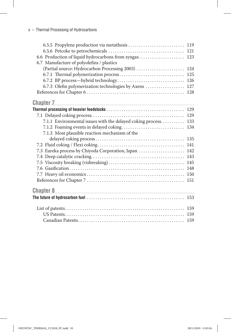| 6.7 Manufacture of polyolefins / plastics              |  |
|--------------------------------------------------------|--|
| (Partial source: Hydrocarbon Processing 2003)  124     |  |
|                                                        |  |
|                                                        |  |
| 6.7.3 Olefin polymerization technologies by Axens  127 |  |
|                                                        |  |
|                                                        |  |

### **Chapter 7 Chapter 7 Chapter 7 Chapter 7 Chapter 7 Chapter 7 Chapter 7 Chapter 7 Chapter 7 Chapter 7 Chapter 7 Chapter 7 Chapter 7 Chapter 7 Chapter 7 Chapter 7 Chapter 7 Chapter 7 Chapt**

| 7.1.1 Environmental issues with the delayed coking process 133 |  |
|----------------------------------------------------------------|--|
|                                                                |  |
| 7.1.3 Most plausible reaction mechanism of the                 |  |
|                                                                |  |
|                                                                |  |
| 7.3 Eureka process by Chiyoda Corporation, Japan  142          |  |
|                                                                |  |
|                                                                |  |
|                                                                |  |
|                                                                |  |
|                                                                |  |
|                                                                |  |

| Chapter 8 |  |
|-----------|--|
|           |  |
|           |  |
|           |  |
|           |  |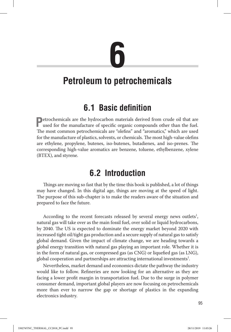# **6**

# **Petroleum to petrochemicals**

# **6.1 Basic definition**

**P**etrochemicals are the hydrocarbon materials derived from crude oil that are used for the manufacture of specific organic compounds other than the fuel. The most common petrochemicals are "olefins" and "aromatics," which are used for the manufacture of plastics, solvents, or chemicals. The most high-value olefins are ethylene, propylene, butenes, iso-butenes, butadienes, and iso-prenes. The corresponding high-value aromatics are benzene, toluene, ethylbenzene, xylene (BTEX), and styrene.

# **6.2 Introduction**

Things are moving so fast that by the time this book is published, a lot of things may have changed. In this digital age, things are moving at the speed of light. The purpose of this sub-chapter is to make the readers aware of the situation and prepared to face the future.

According to the recent forecasts released by several energy news outlets<sup>1</sup>, natural gas will take over as the main fossil fuel, over solid or liquid hydrocarbons, by 2040. The US is expected to dominate the energy market beyond 2020 with increased tight oil/tight gas production and a secure supply of natural gas to satisfy global demand. Given the impact of climate change, we are heading towards a global energy transition with natural gas playing an important role. Whether it is in the form of natural gas, or compressed gas (as CNG) or liquefied gas (as LNG), global cooperation and partnerships are attracting international investments $^{\text{1}}$ .

Nevertheless, market demand and economics dictate the pathway the industry would like to follow. Refineries are now looking for an alternative as they are facing a lower profit margin in transportation fuel. Due to the surge in polymer consumer demand, important global players are now focusing on petrochemicals more than ever to narrow the gap or shortage of plastics in the expanding electronics industry.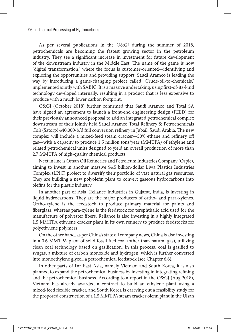As per several publications in the O&GJ during the summer of 2018, petrochemicals are becoming the fastest growing sector in the petroleum industry. They see a significant increase in investment for future development of the downstream industry in the Middle East. The name of the game is now "digital transformation," where the focus is customer-oriented—identifying and exploring the opportunities and providing support. Saudi Aramco is leading the way by introducing a game-changing project called "Crude-oil-to-chemicals," implemented jointly with SABIC. It is a massive undertaking, using first-of-its-kind technology developed internally, resulting in a product that is less expensive to produce with a much lower carbon footprint.

O&GJ (October 2018) further confirmed that Saudi Aramco and Total SA have signed an agreement to launch a front-end engineering design (FEED) for their previously announced proposal to add an integrated petrochemical complex downstream of their jointly held Saudi Aramco Total Refinery & Petrochemicals Co.'s (Satorp) 440,000-b/d full conversion refinery in Jubail, Saudi Arabia. The new complex will include a mixed-feed steam cracker—50% ethane and refinery off gas—with a capacity to produce 1.5 million tons/year (MMTPA) of ethylene and related petrochemical units designed to yield an overall production of more than 2.7 MMTPA of high-quality chemical products.

Next in line is Oman Oil Refineries and Petroleum Industries Company (Orpic), aiming to invest in another massive \$4.5 billion-dollar Liwa Plastics Industries Complex (LPIC) project to diversify their portfolio of vast natural gas resources. They are building a new polyolefin plant to convert gaseous hydrocarbons into olefins for the plastic industry.

In another part of Asia, Reliance Industries in Gujarat, India, is investing in liquid hydrocarbons. They are the major producers of ortho- and para-xylenes. Ortho-xylene is the feedstock to produce primary material for paints and fiberglass, whereas para-xylene is the feedstock for terephthalic acid used for the manufacture of polyester fibers. Reliance is also investing in a highly integrated 1.5 MMTPA ethylene cracker plant in its own refinery to produce feedstocks for polyethylene polymers.

On the other hand, as per China's state oil company news, China is also investing in a 0.6 MMTPA plant of solid fossil fuel coal (other than natural gas), utilizing clean coal technology based on gasification. In this process, coal is gasified to syngas, a mixture of carbon monoxide and hydrogen, which is further converted into monoethylene glycol, a petrochemical feedstock (see Chapter 6.6).

In other parts of Far East Asia, namely Vietnam and South Korea, it is also planned to expand the petrochemical business by investing in integrating refining and the petrochemical business. According to a report in the O&GJ (Aug 2018), Vietnam has already awarded a contract to build an ethylene plant using a mixed-feed flexible cracker, and South Korea is carrying out a feasibility study for the proposed construction of a 1.5 MMTPA steam cracker olefin plant in the Ulsan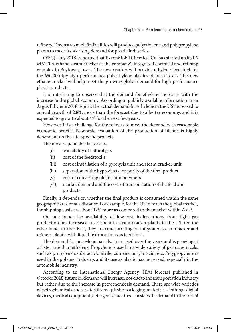refinery. Downstream olefin facilities will produce polyethylene and polypropylene plants to meet Asia's rising demand for plastic industries.

O&GJ (July 2018) reported that ExxonMobil Chemical Co. has started up its 1.5 MMTPA ethane steam cracker at the company's integrated chemical and refining complex in Baytown, Texas. The new cracker will provide ethylene feedstock for the 650,000-tpy high-performance polyethylene plastics plant in Texas. This new ethane cracker will help meet the growing global demand for high-performance plastic products.

It is interesting to observe that the demand for ethylene increases with the increase in the global economy. According to publicly available information in an Argus Ethylene 2018 report, the actual demand for ethylene in the US increased to annual growth of 2.8%, more than the forecast due to a better economy, and it is expected to grow to about 4% for the next few years.

However, it is a challenge for the refiners to meet the demand with reasonable economic benefit. Economic evaluation of the production of olefins is highly dependent on the site-specific projects.

The most dependable factors are:

- (i) availability of natural gas
- (ii) cost of the feedstocks
- (iii) cost of installation of a pyrolysis unit and steam cracker unit
- (iv) separation of the byproducts, or purity of the final product
- (v) cost of converting olefins into polymers
- (vi) market demand and the cost of transportation of the feed and products

Finally, it depends on whether the final product is consumed within the same geographic area or at a distance. For example, for the US to reach the global market, the shipping costs are about 12% more as compared to the market within Asia<sup>1</sup>.

On one hand, the availability of low-cost hydrocarbons from tight gas production has increased investment in steam cracker plants in the US. On the other hand, further East, they are concentrating on integrated steam cracker and refinery plants, with liquid hydrocarbons as feedstock.

The demand for propylene has also increased over the years and is growing at a faster rate than ethylene. Propylene is used in a wide variety of petrochemicals, such as propylene oxide, acrylonitrile, cumene, acrylic acid, etc. Polypropylene is used in the polymer industry, and its use as plastic has increased, especially in the automobile industry.

According to an International Energy Agency (IEA) forecast published in October 2018, future oil demand will increase, not due to the transportation industry but rather due to the increase in petrochemicals demand. There are wide varieties of petrochemicals such as fertilizers, plastic packaging materials, clothing, digital devices, medical equipment, detergents, and tires—besides the demand in the area of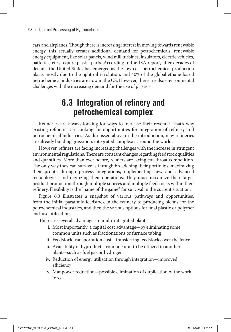cars and airplanes. Though there is increasing interest in moving towards renewable energy, this actually creates additional demand for petrochemicals; renewable energy equipment, like solar panels, wind mill turbines, insulators, electric vehicles, batteries, etc., require plastic parts. According to the IEA report, after decades of decline, the United States has emerged as the low-cost petrochemical production place, mostly due to the tight oil revolution, and 40% of the global ethane-based petrochemical industries are now in the US. However, there are also environmental challenges with the increasing demand for the use of plastics.

## **6.3 Integration of refinery and petrochemical complex**

Refineries are always looking for ways to increase their revenue. That's why existing refineries are looking for opportunities for integration of refinery and petrochemical industries. As discussed above in the introduction, new refineries are already building grassroots integrated complexes around the world.

However, refiners are facing increasing challenges with the increase in stringent environmental regulations.There are constant changes regarding feedstock qualities and quantities. More than ever before, refiners are facing cut-throat competition. The only way they can survive is through broadening their portfolios, maximizing their profits through process integrations, implementing new and advanced technologies, and digitizing their operations. They must maximize their target product production through multiple sources and multiple feedstocks within their refinery. Flexibility is the "name of the game" for survival in the current situation.

Figure 6.3 illustrates a snapshot of various pathways and opportunities, from the initial paraffinic feedstock in the refinery to producing olefins for the petrochemical industries, and then the various options for final plastic or polymer end-use utilization.

There are several advantages to multi-integrated plants:

- i. Most importantly, a capital cost advantage—by eliminating some common units such as fractionations or furnace tubing
- ii. Feedstock transportation cost—transferring feedstocks over the fence
- iii. Availability of byproducts from one unit to be utilized in another plant—such as fuel gas or hydrogen
- iv. Reduction of energy utilization through integration—improved efficiency
- v. Manpower reduction—possible elimination of duplication of the work force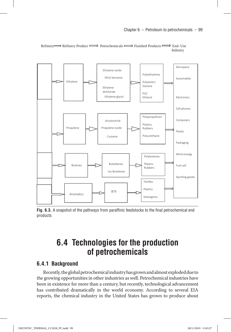

Refinery  $\implies$  Refinery Product  $\implies$  Petrochemicals  $\implies$  Finished Products  $\implies$  End- Use Industry

**Fig. 6.3.** A snapshot of the pathways from paraffinic feedstocks to the final petrochemical end products

## **6.4 Technologies for the production of petrochemicals**

#### **6.4.1 Background**

Recently, the global petrochemical industry has grown and almost exploded due to the growing opportunities in other industries as well. Petrochemical industries have been in existence for more than a century, but recently, technological advancement has contributed dramatically in the world economy. According to several EIA reports, the chemical industry in the United States has grown to produce about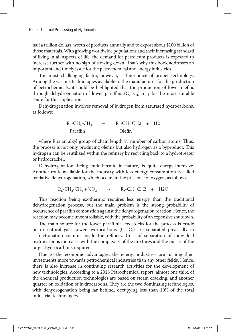half a trillion dollars' worth of products annually and to export about \$100 billion of those materials. With growing worldwide populations and their increasing standard of living in all aspects of life, the demand for petroleum products is expected to increase further with no sign of slowing down. That's why this book addresses an important and timely issue for the petrochemical and energy industries.

The most challenging factor, however, is the choice of proper technology. Among the various technologies available to the manufacturer for the production of petrochemicals, it could be highlighted that the production of lower olefins through dehydrogenation of lower paraffins  $(C_2-C_4)$  may be the most suitable route for this application.

Dehydrogenation involves removal of hydrogen from saturated hydrocarbons, as follows:

$$
R_n\text{-}CH_2\text{-}CH_3
$$
\n
$$
R_n\text{-}CH=\text{CH2 + H2}
$$
\n
$$
Paraffin
$$
\n
$$
Oleftharpoons
$$

where R is an alkyl group of chain length 'n' number of carbon atoms. Thus, the process is not only producing olefins but also hydrogen as a byproduct. This hydrogen can be reutilized within the refinery by recycling back to a hydrotreater or hydrocracker.

Dehydrogenation, being endothermic in nature, is quite energy-intensive. Another route available for the industry with less energy consumption is called oxidative dehydrogenation, which occurs in the presence of oxygen, as follows:

$$
R_n\text{-}CH_2\text{-}CH_3 + \frac{1}{2}O_2 \qquad \qquad R_n\text{-}CH=\text{-}CH2 + H2O
$$

This reaction being exothermic requires less energy than the traditional dehydrogenation process, but the main problem is the strong probability of occurrence of paraffin combustion against the dehydrogenation reaction. Hence, the reaction may become uncontrollable, with the probability of an expensive shutdown.

The main source for the lower paraffinic feedstocks for the process is crude oil or natural gas. Lower hydrocarbons  $(C_2 - C_4)$  are separated physically in a fractionation column inside the refinery. Cost of separation of individual hydrocarbons increases with the complexity of the mixtures and the purity of the target hydrocarbons required.

Due to the economic advantages, the energy industries are turning their investments more towards petrochemical industries than any other fields. Hence, there is also increase in continuing research activities for the development of new technologies. According to a 2018 Petrochemical report, almost one third of the chemical production technologies are based on steam cracking, and another quarter on oxidation of hydrocarbons. They are the two dominating technologies, with dehydrogenation being far behind, occupying less than 10% of the total industrial technologies.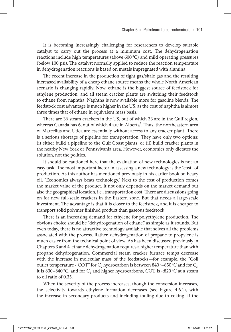It is becoming increasingly challenging for researchers to develop suitable catalyst to carry out the process at a minimum cost. The dehydrogenation reactions include high temperatures (above  $600\text{°C}$ ) and mild operating pressures (below 100 psi). The catalyst normally applied to reduce the reaction temperature in dehydrogenation reactions is based on metals impregnated with alumina.

The recent increase in the production of tight gas/shale gas and the resulting increased availability of a cheap ethane source means the whole North American scenario is changing rapidly. Now, ethane is the biggest source of feedstock for ethylene production, and all steam cracker plants are switching their feedstock to ethane from naphtha. Naphtha is now available more for gasoline blends. The feedstock cost advantage is much higher in the US, as the cost of naphtha is almost three times that of ethane in equivalent mass basis.

There are 36 steam crackers in the US, out of which 33 are in the Gulf region, whereas Canada has 6, out of which  $4$  are in Alberta $^2$ . Thus, the northeastern area of Marcellus and Utica are essentially without access to any cracker plant. There is a serious shortage of pipeline for transportation. They have only two options: (i) either build a pipeline to the Gulf Coast plants, or (ii) build cracker plants in the nearby New York or Pennsylvania area. However, economics only dictates the solution, not the politics.

It should be cautioned here that the evaluation of new technologies is not an easy task. The most important factor in assessing a new technology is the "cost" of production. As this author has mentioned previously in his earlier book on heavy oil, "Economics always beats technology." Next to the cost of production comes the market value of the product. It not only depends on the market demand but also the geographical location, i.e., transportation cost. There are discussions going on for new full-scale crackers in the Eastern zone. But that needs a large-scale investment. The advantage is that it is closer to the feedstock, and it is cheaper to transport solid polymer finished product than gaseous feedstock.

There is an increasing demand for ethylene for polyethylene production. The obvious choice should be "dehydrogenation of ethane," as simple as it sounds. But even today, there is no attractive technology available that solves all the problems associated with the process. Rather, dehydrogenation of propane to propylene is much easier from the technical point of view. As has been discussed previously in Chapters 3 and 4, ethane dehydrogenation requires a higher temperature than with propane dehydrogenation. Commercial steam cracker furnace temps decrease with the increase in molecular mass of the feedstocks—for example, the "Coil outlet temperature - COT" for  $C_2$  hydrocarbon is between 840 $^{\circ}$ –850 $^{\circ}$ C and for  $C_3$ , it is 830–840 °C, and for  $C_4$  and higher hydrocarbons, COT is <820 °C at a steam to oil ratio of 0.35.

When the severity of the process increases, though the conversion increases, the selectivity towards ethylene formation decreases (see Figure 4.6.1), with the increase in secondary products and including fouling due to coking. If the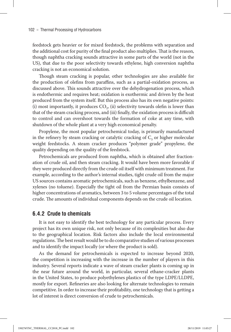feedstock gets heavier or for mixed feedstock, the problems with separation and the additional cost for purity of the final product also multiplies. That is the reason, though naphtha cracking sounds attractive in some parts of the world (not in the US), that due to the poor selectivity towards ethylene, high conversion naphtha cracking is not an economical solution.

Though steam cracking is popular, other technologies are also available for the production of olefins from paraffins, such as a partial-oxidation process, as discussed above. This sounds attractive over the dehydrogenation process, which is endothermic and requires heat; oxidation is exothermic and driven by the heat produced from the system itself. But this process also has its own negative points: (i) most importantly, it produces  $CO<sub>2</sub>$ , (ii) selectivity towards olefin is lower than that of the steam cracking process, and (iii) finally, the oxidation process is difficult to control and can overshoot towards the formation of coke at any time, with shutdown of the whole plant at a very high economical penalty.

Propylene, the most popular petrochemical today, is primarily manufactured in the refinery by steam cracking or catalytic cracking of  $C_3$  or higher molecular weight feedstocks. A steam cracker produces "polymer grade" propylene, the quality depending on the quality of the feedstock.

Petrochemicals are produced from naphtha, which is obtained after fractionation of crude oil, and then steam cracking. It would have been more favorable if they were produced directly from the crude oil itself with minimum treatment. For example, according to the author's internal studies, tight crude oil from the major US sources contains aromatic petrochemicals, such as benzene, ethylbenzene, and xylenes (no toluene). Especially the tight oil from the Permian basin consists of higher concentrations of aromatics, between 3 to 5 volume percentages of the total crude. The amounts of individual components depends on the crude oil location.

#### **6.4.2 Crude to chemicals**

It is not easy to identify the best technology for any particular process. Every project has its own unique risk, not only because of its complexities but also due to the geographical location. Risk factors also include the local environmental regulations.The best result would be to do comparative studies of various processes and to identify the impact locally (or where the product is sold).

As the demand for petrochemicals is expected to increase beyond 2020, the competition is increasing with the increase in the number of players in this industry. Several reports indicate a wave of steam cracker plants is coming up in the near future around the world, in particular, several ethane-cracker plants in the United States, to produce polyethylenes plastics of the type LDPE/LLDPE, mostly for export. Refineries are also looking for alternate technologies to remain competitive. In order to increase their profitability, one technology that is getting a lot of interest is direct conversion of crude to petrochemicals.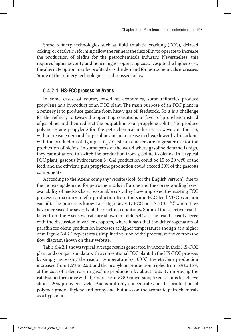Some refinery technologies such as fluid catalytic cracking (FCC), delayed coking, or catalytic reforming allow the refiners the flexibility to operate to increase the production of olefins for the petrochemicals industry. Nevertheless, this requires higher severity and hence higher operating cost. Despite the higher cost, the alternate option may be profitable as the demand for petrochemicals increases. Some of the refinery technologies are discussed below.

#### **6.4.2.1 HS-FCC process by Axens**

In some cases, of course, based on economics, some refineries produce propylene as a byproduct of an FCC plant. The main purpose of an FCC plant in a refinery is to produce gasoline from heavy gas oil feedstock. So it is a challenge for the refinery to tweak the operating conditions in favor of propylene instead of gasoline, and then redirect the output line to a "propylene splitter" to produce polymer-grade propylene for the petrochemical industry. However, in the US, with increasing demand for gasoline and an increase in cheap lower hydrocarbons with the production of tight gas,  $C_2 / C_3$  steam crackers are in greater use for the production of olefins. In some parts of the world where gasoline demand is high, they cannot afford to switch the production from gasoline to olefins. In a typical FCC plant, gaseous hydrocarbon (< C4) production could be 15 to 20 wt% of the feed, and the ethylene plus propylene production could exceed 30% of the gaseous components.

According to the Axens company website (look for the English version), due to the increasing demand for petrochemicals in Europe and the corresponding lesser availability of feedstocks at reasonable cost, they have improved the existing FCC process to maximize olefin production from the same FCC feed VGO (vacuum gas oil). The process is known as "High Severity FCC or HS-FCC  $^{TM}$ ," where they have increased the severity of the reaction conditions. Some of the selective results taken from the Axens website are shown in Table 6.4.2.1. The results clearly agree with the discussion in earlier chapters, where it says that the dehydrogenation of paraffin for olefin production increases at higher temperatures though at a higher cost. Figure 6.4.2.1 represents a simplified version of the process, redrawn from the flow diagram shown on their website.

Table 6.4.2.1 shows typical average results generated by Axens in their HS-FCC plant and comparison data with a conventional FCC plant. In the HS-FCC process, by simply increasing the reactor temperature by  $100\,^{\circ}\text{C}$ , the ethylene production increased from 1.5% to 2.5% and the propylene production tripled from 5% to 16%, at the cost of a decrease in gasoline production by about 15%. By improving the catalyst performance with the increase in VGO conversion, Axens claims to achieve almost 20% propylene yield. Axens not only concentrates on the production of polymer-grade ethylene and propylene, but also on the aromatic petrochemicals as a byproduct.